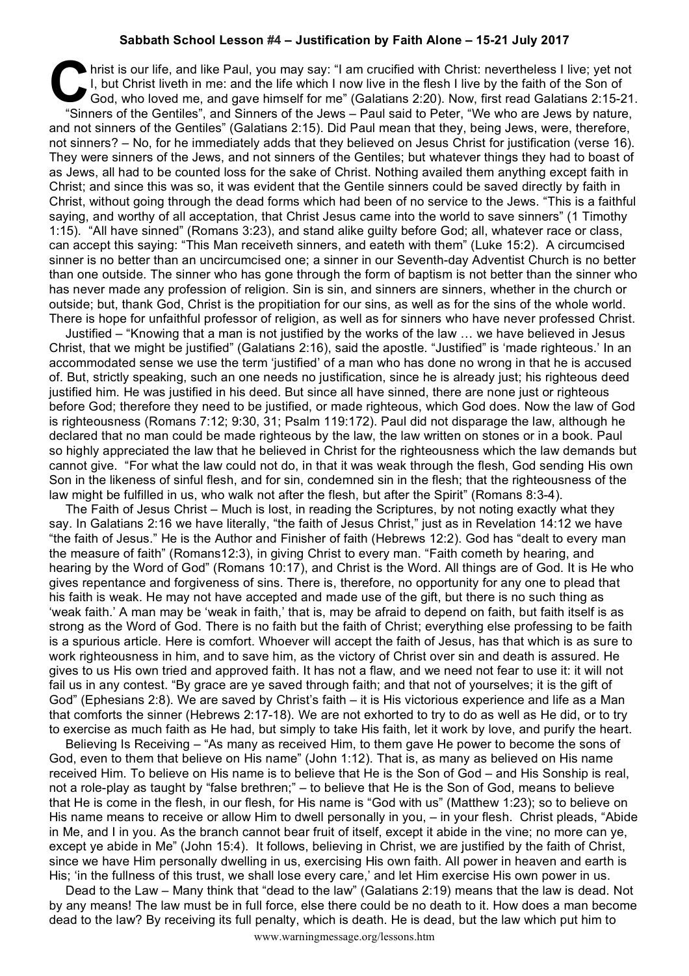## **Sabbath School Lesson #4 – Justification by Faith Alone – 15-21 July 2017**

hrist is our life, and like Paul, you may say: "I am crucified with Christ: nevertheless I live; yet not I, but Christ liveth in me: and the life which I now live in the flesh I live by the faith of the Son of God, who lov I, but Christ liveth in me: and the life which I now live in the flesh I live by the faith of the Son of God, who loved me, and gave himself for me" (Galatians 2:20). Now, first read Galatians 2:15-21. "Sinners of the Gentiles", and Sinners of the Jews – Paul said to Peter, "We who are Jews by nature, and not sinners of the Gentiles" (Galatians 2:15). Did Paul mean that they, being Jews, were, therefore, not sinners? – No, for he immediately adds that they believed on Jesus Christ for justification (verse 16). They were sinners of the Jews, and not sinners of the Gentiles; but whatever things they had to boast of as Jews, all had to be counted loss for the sake of Christ. Nothing availed them anything except faith in Christ; and since this was so, it was evident that the Gentile sinners could be saved directly by faith in Christ, without going through the dead forms which had been of no service to the Jews. "This is a faithful saying, and worthy of all acceptation, that Christ Jesus came into the world to save sinners" (1 Timothy 1:15). "All have sinned" (Romans 3:23), and stand alike guilty before God; all, whatever race or class, can accept this saying: "This Man receiveth sinners, and eateth with them" (Luke 15:2). A circumcised sinner is no better than an uncircumcised one; a sinner in our Seventh-day Adventist Church is no better than one outside. The sinner who has gone through the form of baptism is not better than the sinner who has never made any profession of religion. Sin is sin, and sinners are sinners, whether in the church or outside; but, thank God, Christ is the propitiation for our sins, as well as for the sins of the whole world. There is hope for unfaithful professor of religion, as well as for sinners who have never professed Christ.

Justified – "Knowing that a man is not justified by the works of the law … we have believed in Jesus Christ, that we might be justified" (Galatians 2:16), said the apostle. "Justified" is 'made righteous.' In an accommodated sense we use the term 'justified' of a man who has done no wrong in that he is accused of. But, strictly speaking, such an one needs no justification, since he is already just; his righteous deed justified him. He was justified in his deed. But since all have sinned, there are none just or righteous before God; therefore they need to be justified, or made righteous, which God does. Now the law of God is righteousness (Romans 7:12; 9:30, 31; Psalm 119:172). Paul did not disparage the law, although he declared that no man could be made righteous by the law, the law written on stones or in a book. Paul so highly appreciated the law that he believed in Christ for the righteousness which the law demands but cannot give. "For what the law could not do, in that it was weak through the flesh, God sending His own Son in the likeness of sinful flesh, and for sin, condemned sin in the flesh; that the righteousness of the law might be fulfilled in us, who walk not after the flesh, but after the Spirit" (Romans 8:3-4).

The Faith of Jesus Christ – Much is lost, in reading the Scriptures, by not noting exactly what they say. In Galatians 2:16 we have literally, "the faith of Jesus Christ," just as in Revelation 14:12 we have "the faith of Jesus." He is the Author and Finisher of faith (Hebrews 12:2). God has "dealt to every man the measure of faith" (Romans12:3), in giving Christ to every man. "Faith cometh by hearing, and hearing by the Word of God" (Romans 10:17), and Christ is the Word. All things are of God. It is He who gives repentance and forgiveness of sins. There is, therefore, no opportunity for any one to plead that his faith is weak. He may not have accepted and made use of the gift, but there is no such thing as 'weak faith.' A man may be 'weak in faith,' that is, may be afraid to depend on faith, but faith itself is as strong as the Word of God. There is no faith but the faith of Christ; everything else professing to be faith is a spurious article. Here is comfort. Whoever will accept the faith of Jesus, has that which is as sure to work righteousness in him, and to save him, as the victory of Christ over sin and death is assured. He gives to us His own tried and approved faith. It has not a flaw, and we need not fear to use it: it will not fail us in any contest. "By grace are ye saved through faith; and that not of yourselves; it is the gift of God" (Ephesians 2:8). We are saved by Christ's faith – it is His victorious experience and life as a Man that comforts the sinner (Hebrews 2:17-18). We are not exhorted to try to do as well as He did, or to try to exercise as much faith as He had, but simply to take His faith, let it work by love, and purify the heart.

Believing Is Receiving – "As many as received Him, to them gave He power to become the sons of God, even to them that believe on His name" (John 1:12). That is, as many as believed on His name received Him. To believe on His name is to believe that He is the Son of God – and His Sonship is real, not a role-play as taught by "false brethren;" – to believe that He is the Son of God, means to believe that He is come in the flesh, in our flesh, for His name is "God with us" (Matthew 1:23); so to believe on His name means to receive or allow Him to dwell personally in you, – in your flesh. Christ pleads, "Abide in Me, and I in you. As the branch cannot bear fruit of itself, except it abide in the vine; no more can ye, except ye abide in Me" (John 15:4). It follows, believing in Christ, we are justified by the faith of Christ, since we have Him personally dwelling in us, exercising His own faith. All power in heaven and earth is His; 'in the fullness of this trust, we shall lose every care,' and let Him exercise His own power in us.

Dead to the Law – Many think that "dead to the law" (Galatians 2:19) means that the law is dead. Not by any means! The law must be in full force, else there could be no death to it. How does a man become dead to the law? By receiving its full penalty, which is death. He is dead, but the law which put him to